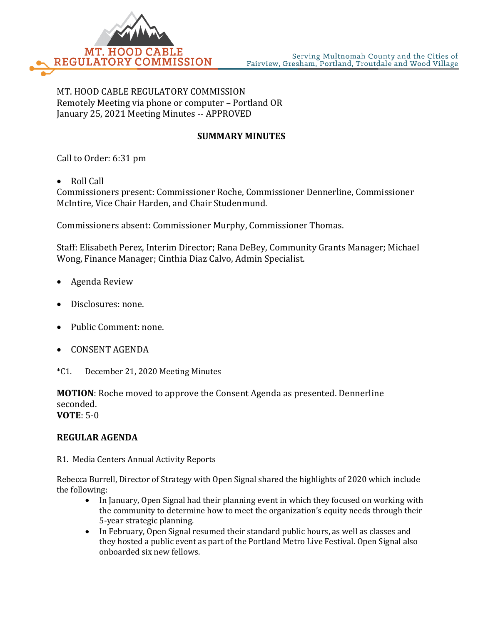

MT. HOOD CABLE REGULATORY COMMISSION Remotely Meeting via phone or computer – Portland OR January 25, 2021 Meeting Minutes -- APPROVED

## **SUMMARY MINUTES**

Call to Order: 6:31 pm

• Roll Call

Commissioners present: Commissioner Roche, Commissioner Dennerline, Commissioner McIntire, Vice Chair Harden, and Chair Studenmund.

Commissioners absent: Commissioner Murphy, Commissioner Thomas.

Staff: Elisabeth Perez, Interim Director; Rana DeBey, Community Grants Manager; Michael Wong, Finance Manager; Cinthia Diaz Calvo, Admin Specialist.

- Agenda Review
- Disclosures: none.
- Public Comment: none.
- CONSENT AGENDA
- \*C1. December 21, 2020 Meeting Minutes

**MOTION**: Roche moved to approve the Consent Agenda as presented. Dennerline seconded. **VOTE**: 5-0

## **REGULAR AGENDA**

R1. Media Centers Annual Activity Reports

Rebecca Burrell, Director of Strategy with Open Signal shared the highlights of 2020 which include the following:

- In January, Open Signal had their planning event in which they focused on working with the community to determine how to meet the organization's equity needs through their 5-year strategic planning.
- In February, Open Signal resumed their standard public hours, as well as classes and they hosted a public event as part of the Portland Metro Live Festival. Open Signal also onboarded six new fellows.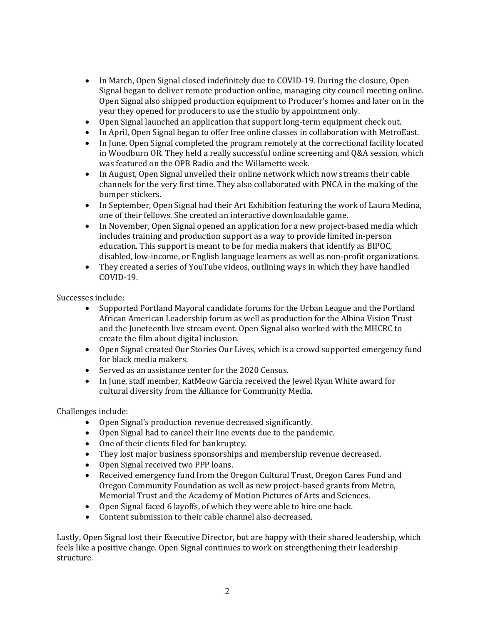- In March, Open Signal closed indefinitely due to COVID-19. During the closure, Open Signal began to deliver remote production online, managing city council meeting online. Open Signal also shipped production equipment to Producer's homes and later on in the year they opened for producers to use the studio by appointment only.
- Open Signal launched an application that support long-term equipment check out.
- In April, Open Signal began to offer free online classes in collaboration with MetroEast.
- In June, Open Signal completed the program remotely at the correctional facility located in Woodburn OR. They held a really successful online screening and Q&A session, which was featured on the OPB Radio and the Willamette week.
- In August, Open Signal unveiled their online network which now streams their cable channels for the very first time. They also collaborated with PNCA in the making of the bumper stickers.
- In September, Open Signal had their Art Exhibition featuring the work of Laura Medina, one of their fellows. She created an interactive downloadable game.
- In November, Open Signal opened an application for a new project-based media which includes training and production support as a way to provide limited in-person education. This support is meant to be for media makers that identify as BIPOC, disabled, low-income, or English language learners as well as non-profit organizations.
- They created a series of YouTube videos, outlining ways in which they have handled COVID-19.

Successes include:

- Supported Portland Mayoral candidate forums for the Urban League and the Portland African American Leadership forum as well as production for the Albina Vision Trust and the Juneteenth live stream event. Open Signal also worked with the MHCRC to create the film about digital inclusion.
- Open Signal created Our Stories Our Lives, which is a crowd supported emergency fund for black media makers.
- Served as an assistance center for the 2020 Census.
- In June, staff member, KatMeow Garcia received the Jewel Ryan White award for cultural diversity from the Alliance for Community Media.

Challenges include:

- Open Signal's production revenue decreased significantly.
- Open Signal had to cancel their line events due to the pandemic.
- One of their clients filed for bankruptcy.
- They lost major business sponsorships and membership revenue decreased.
- Open Signal received two PPP loans.
- Received emergency fund from the Oregon Cultural Trust, Oregon Cares Fund and Oregon Community Foundation as well as new project-based grants from Metro, Memorial Trust and the Academy of Motion Pictures of Arts and Sciences.
- Open Signal faced 6 layoffs, of which they were able to hire one back.
- Content submission to their cable channel also decreased.

Lastly, Open Signal lost their Executive Director, but are happy with their shared leadership, which feels like a positive change. Open Signal continues to work on strengthening their leadership structure.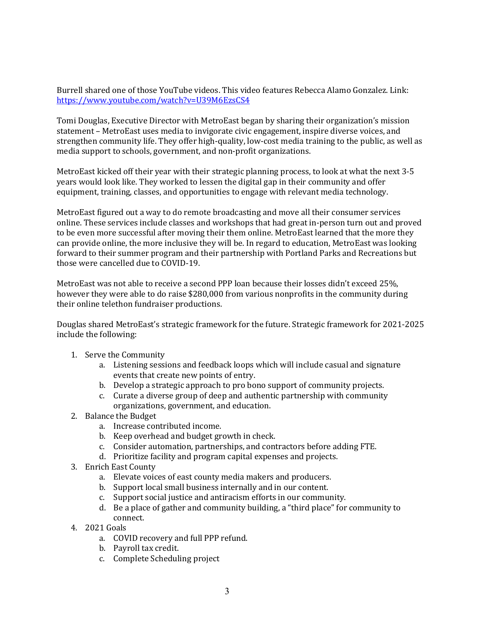Burrell shared one of those YouTube videos. This video features Rebecca Alamo Gonzalez. Link: <https://www.youtube.com/watch?v=U39M6EzsCS4>

Tomi Douglas, Executive Director with MetroEast began by sharing their organization's mission statement – MetroEast uses media to invigorate civic engagement, inspire diverse voices, and strengthen community life. They offer high-quality, low-cost media training to the public, as well as media support to schools, government, and non-profit organizations.

MetroEast kicked off their year with their strategic planning process, to look at what the next 3-5 years would look like. They worked to lessen the digital gap in their community and offer equipment, training, classes, and opportunities to engage with relevant media technology.

MetroEast figured out a way to do remote broadcasting and move all their consumer services online. These services include classes and workshops that had great in-person turn out and proved to be even more successful after moving their them online. MetroEast learned that the more they can provide online, the more inclusive they will be. In regard to education, MetroEast was looking forward to their summer program and their partnership with Portland Parks and Recreations but those were cancelled due to COVID-19.

MetroEast was not able to receive a second PPP loan because their losses didn't exceed 25%, however they were able to do raise \$280,000 from various nonprofits in the community during their online telethon fundraiser productions.

Douglas shared MetroEast's strategic framework for the future. Strategic framework for 2021-2025 include the following:

- 1. Serve the Community
	- a. Listening sessions and feedback loops which will include casual and signature events that create new points of entry.
	- b. Develop a strategic approach to pro bono support of community projects.
	- c. Curate a diverse group of deep and authentic partnership with community organizations, government, and education.
- 2. Balance the Budget
	- a. Increase contributed income.
	- b. Keep overhead and budget growth in check.
	- c. Consider automation, partnerships, and contractors before adding FTE.
	- d. Prioritize facility and program capital expenses and projects.
- 3. Enrich East County
	- a. Elevate voices of east county media makers and producers.
	- b. Support local small business internally and in our content.
	- c. Support social justice and antiracism efforts in our community.
	- d. Be a place of gather and community building, a "third place" for community to connect.
- 4. 2021 Goals
	- a. COVID recovery and full PPP refund.
	- b. Payroll tax credit.
	- c. Complete Scheduling project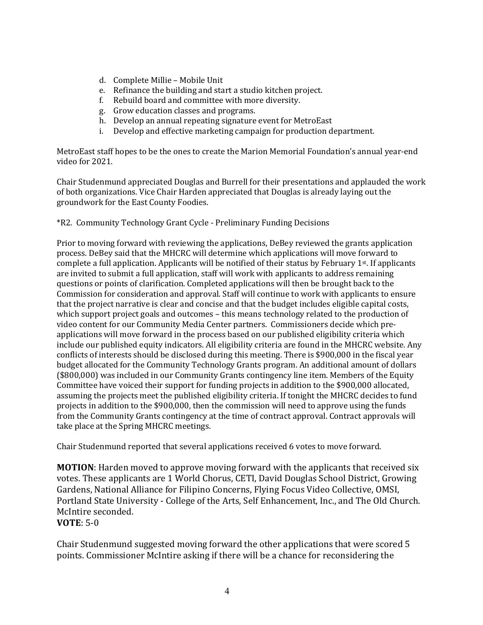- d. Complete Millie Mobile Unit
- e. Refinance the building and start a studio kitchen project.
- f. Rebuild board and committee with more diversity.
- g. Grow education classes and programs.
- h. Develop an annual repeating signature event for MetroEast
- i. Develop and effective marketing campaign for production department.

MetroEast staff hopes to be the ones to create the Marion Memorial Foundation's annual year-end video for 2021.

Chair Studenmund appreciated Douglas and Burrell for their presentations and applauded the work of both organizations. Vice Chair Harden appreciated that Douglas is already laying out the groundwork for the East County Foodies.

\*R2. Community Technology Grant Cycle - Preliminary Funding Decisions

Prior to moving forward with reviewing the applications, DeBey reviewed the grants application process. DeBey said that the MHCRC will determine which applications will move forward to complete a full application. Applicants will be notified of their status by February 1st. If applicants are invited to submit a full application, staff will work with applicants to address remaining questions or points of clarification. Completed applications will then be brought back to the Commission for consideration and approval. Staff will continue to work with applicants to ensure that the project narrative is clear and concise and that the budget includes eligible capital costs, which support project goals and outcomes – this means technology related to the production of video content for our Community Media Center partners. Commissioners decide which preapplications will move forward in the process based on our published eligibility criteria which include our published equity indicators. All eligibility criteria are found in the MHCRC website. Any conflicts of interests should be disclosed during this meeting. There is \$900,000 in the fiscal year budget allocated for the Community Technology Grants program. An additional amount of dollars (\$800,000) was included in our Community Grants contingency line item. Members of the Equity Committee have voiced their support for funding projects in addition to the \$900,000 allocated, assuming the projects meet the published eligibility criteria. If tonight the MHCRC decides to fund projects in addition to the \$900,000, then the commission will need to approve using the funds from the Community Grants contingency at the time of contract approval. Contract approvals will take place at the Spring MHCRC meetings.

Chair Studenmund reported that several applications received 6 votes to move forward.

**MOTION**: Harden moved to approve moving forward with the applicants that received six votes. These applicants are 1 World Chorus, CETI, David Douglas School District, Growing Gardens, National Alliance for Filipino Concerns, Flying Focus Video Collective, OMSI, Portland State University - College of the Arts, Self Enhancement, Inc., and The Old Church. McIntire seconded.

**VOTE**: 5-0

Chair Studenmund suggested moving forward the other applications that were scored 5 points. Commissioner McIntire asking if there will be a chance for reconsidering the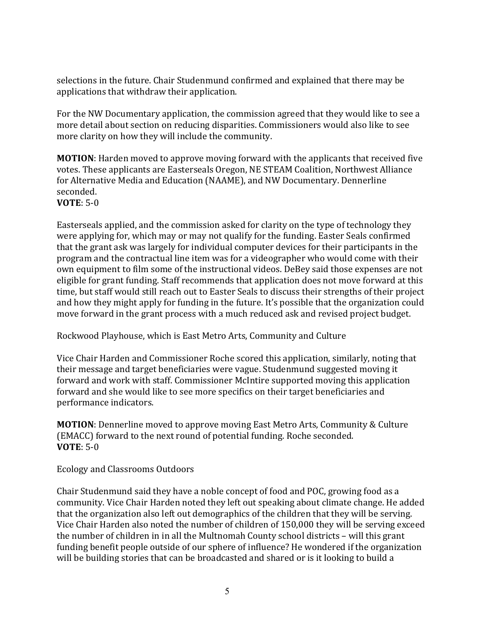selections in the future. Chair Studenmund confirmed and explained that there may be applications that withdraw their application.

For the NW Documentary application, the commission agreed that they would like to see a more detail about section on reducing disparities. Commissioners would also like to see more clarity on how they will include the community.

**MOTION**: Harden moved to approve moving forward with the applicants that received five votes. These applicants are Easterseals Oregon, NE STEAM Coalition, Northwest Alliance for Alternative Media and Education (NAAME), and NW Documentary. Dennerline seconded.

## **VOTE**: 5-0

Easterseals applied, and the commission asked for clarity on the type of technology they were applying for, which may or may not qualify for the funding. Easter Seals confirmed that the grant ask was largely for individual computer devices for their participants in the program and the contractual line item was for a videographer who would come with their own equipment to film some of the instructional videos. DeBey said those expenses are not eligible for grant funding. Staff recommends that application does not move forward at this time, but staff would still reach out to Easter Seals to discuss their strengths of their project and how they might apply for funding in the future. It's possible that the organization could move forward in the grant process with a much reduced ask and revised project budget.

Rockwood Playhouse, which is East Metro Arts, Community and Culture

Vice Chair Harden and Commissioner Roche scored this application, similarly, noting that their message and target beneficiaries were vague. Studenmund suggested moving it forward and work with staff. Commissioner McIntire supported moving this application forward and she would like to see more specifics on their target beneficiaries and performance indicators.

**MOTION**: Dennerline moved to approve moving East Metro Arts, Community & Culture (EMACC) forward to the next round of potential funding. Roche seconded. **VOTE**: 5-0

Ecology and Classrooms Outdoors

Chair Studenmund said they have a noble concept of food and POC, growing food as a community. Vice Chair Harden noted they left out speaking about climate change. He added that the organization also left out demographics of the children that they will be serving. Vice Chair Harden also noted the number of children of 150,000 they will be serving exceed the number of children in in all the Multnomah County school districts – will this grant funding benefit people outside of our sphere of influence? He wondered if the organization will be building stories that can be broadcasted and shared or is it looking to build a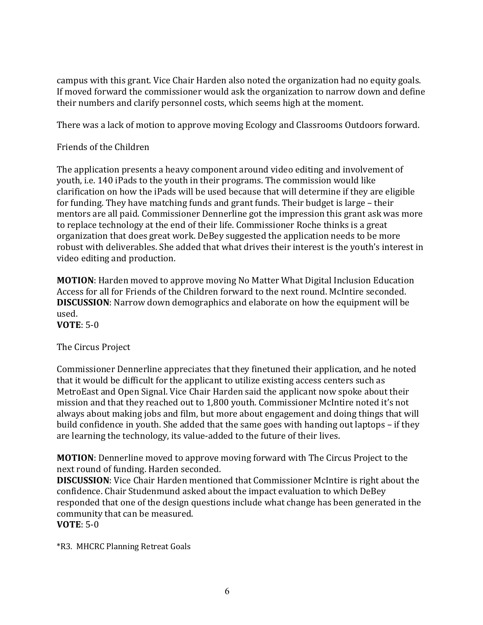campus with this grant. Vice Chair Harden also noted the organization had no equity goals. If moved forward the commissioner would ask the organization to narrow down and define their numbers and clarify personnel costs, which seems high at the moment.

There was a lack of motion to approve moving Ecology and Classrooms Outdoors forward.

## Friends of the Children

The application presents a heavy component around video editing and involvement of youth, i.e. 140 iPads to the youth in their programs. The commission would like clarification on how the iPads will be used because that will determine if they are eligible for funding. They have matching funds and grant funds. Their budget is large – their mentors are all paid. Commissioner Dennerline got the impression this grant ask was more to replace technology at the end of their life. Commissioner Roche thinks is a great organization that does great work. DeBey suggested the application needs to be more robust with deliverables. She added that what drives their interest is the youth's interest in video editing and production.

**MOTION**: Harden moved to approve moving No Matter What Digital Inclusion Education Access for all for Friends of the Children forward to the next round. McIntire seconded. **DISCUSSION**: Narrow down demographics and elaborate on how the equipment will be used.

**VOTE**: 5-0

The Circus Project

Commissioner Dennerline appreciates that they finetuned their application, and he noted that it would be difficult for the applicant to utilize existing access centers such as MetroEast and Open Signal. Vice Chair Harden said the applicant now spoke about their mission and that they reached out to 1,800 youth. Commissioner McIntire noted it's not always about making jobs and film, but more about engagement and doing things that will build confidence in youth. She added that the same goes with handing out laptops – if they are learning the technology, its value-added to the future of their lives.

**MOTION**: Dennerline moved to approve moving forward with The Circus Project to the next round of funding. Harden seconded.

**DISCUSSION**: Vice Chair Harden mentioned that Commissioner McIntire is right about the confidence. Chair Studenmund asked about the impact evaluation to which DeBey responded that one of the design questions include what change has been generated in the community that can be measured.

**VOTE**: 5-0

\*R3. MHCRC Planning Retreat Goals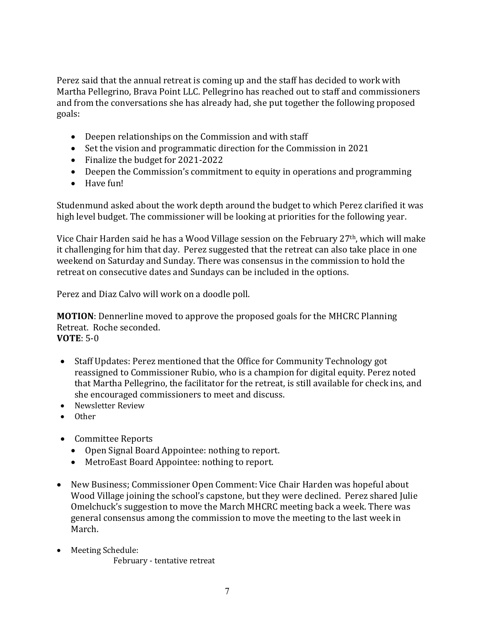Perez said that the annual retreat is coming up and the staff has decided to work with Martha Pellegrino, Brava Point LLC. Pellegrino has reached out to staff and commissioners and from the conversations she has already had, she put together the following proposed goals:

- Deepen relationships on the Commission and with staff
- Set the vision and programmatic direction for the Commission in 2021
- Finalize the budget for 2021-2022
- Deepen the Commission's commitment to equity in operations and programming
- Have fun!

Studenmund asked about the work depth around the budget to which Perez clarified it was high level budget. The commissioner will be looking at priorities for the following year.

Vice Chair Harden said he has a Wood Village session on the February 27th, which will make it challenging for him that day. Perez suggested that the retreat can also take place in one weekend on Saturday and Sunday. There was consensus in the commission to hold the retreat on consecutive dates and Sundays can be included in the options.

Perez and Diaz Calvo will work on a doodle poll.

**MOTION**: Dennerline moved to approve the proposed goals for the MHCRC Planning Retreat. Roche seconded. **VOTE**: 5-0

- Staff Updates: Perez mentioned that the Office for Community Technology got reassigned to Commissioner Rubio, who is a champion for digital equity. Perez noted that Martha Pellegrino, the facilitator for the retreat, is still available for check ins, and she encouraged commissioners to meet and discuss.
- Newsletter Review
- Other
- Committee Reports
	- Open Signal Board Appointee: nothing to report.
	- MetroEast Board Appointee: nothing to report.
- New Business; Commissioner Open Comment: Vice Chair Harden was hopeful about Wood Village joining the school's capstone, but they were declined. Perez shared Julie Omelchuck's suggestion to move the March MHCRC meeting back a week. There was general consensus among the commission to move the meeting to the last week in March.
- Meeting Schedule: February - tentative retreat